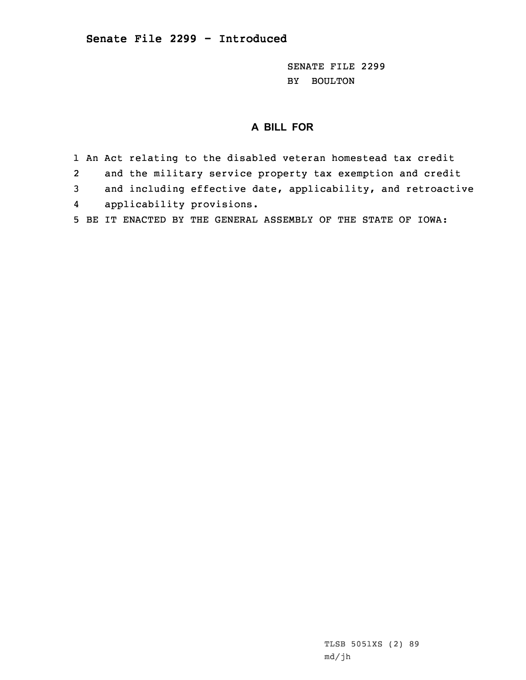SENATE FILE 2299 BY BOULTON

## **A BILL FOR**

1 An Act relating to the disabled veteran homestead tax credit 2 and the military service property tax exemption and credit 3 and including effective date, applicability, and retroactive 4applicability provisions.

5 BE IT ENACTED BY THE GENERAL ASSEMBLY OF THE STATE OF IOWA:

TLSB 5051XS (2) 89 md/jh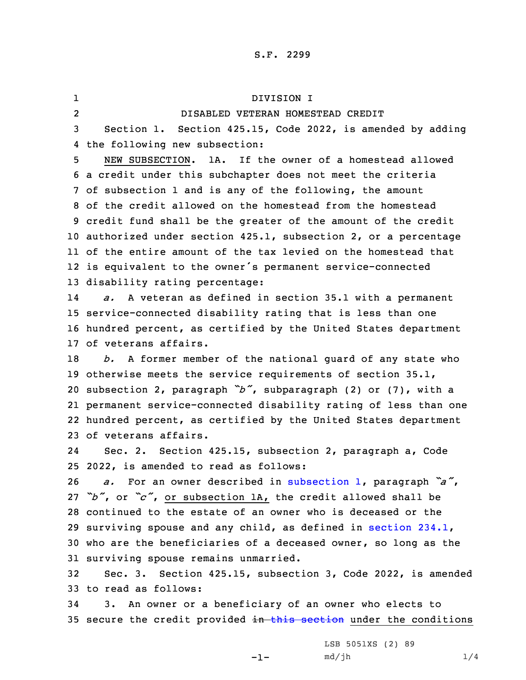1 DIVISION I 2 DISABLED VETERAN HOMESTEAD CREDIT Section 1. Section 425.15, Code 2022, is amended by adding the following new subsection: NEW SUBSECTION. 1A. If the owner of a homestead allowed <sup>a</sup> credit under this subchapter does not meet the criteria of subsection 1 and is any of the following, the amount of the credit allowed on the homestead from the homestead credit fund shall be the greater of the amount of the credit authorized under section 425.1, subsection 2, or <sup>a</sup> percentage of the entire amount of the tax levied on the homestead that is equivalent to the owner's permanent service-connected disability rating percentage: 14 *a.* <sup>A</sup> veteran as defined in section 35.1 with <sup>a</sup> permanent service-connected disability rating that is less than one hundred percent, as certified by the United States department of veterans affairs. *b.* <sup>A</sup> former member of the national guard of any state who otherwise meets the service requirements of section 35.1, subsection 2, paragraph *"b"*, subparagraph (2) or (7), with <sup>a</sup> permanent service-connected disability rating of less than one hundred percent, as certified by the United States department of veterans affairs. 24 Sec. 2. Section 425.15, subsection 2, paragraph a, Code 2022, is amended to read as follows: *a.* For an owner described in [subsection](https://www.legis.iowa.gov/docs/code/2022/425.15.pdf) 1, paragraph *"a"*, *"b"*, or *"c"*, or subsection 1A, the credit allowed shall be continued to the estate of an owner who is deceased or the surviving spouse and any child, as defined in [section](https://www.legis.iowa.gov/docs/code/2022/234.1.pdf) 234.1, who are the beneficiaries of <sup>a</sup> deceased owner, so long as the surviving spouse remains unmarried. Sec. 3. Section 425.15, subsection 3, Code 2022, is amended to read as follows: 3. An owner or <sup>a</sup> beneficiary of an owner who elects to

35 secure the credit provided in this [section](https://www.legis.iowa.gov/docs/code/2022/425.15.pdf) under the conditions

-1-

LSB 5051XS (2) 89  $md/jh$   $1/4$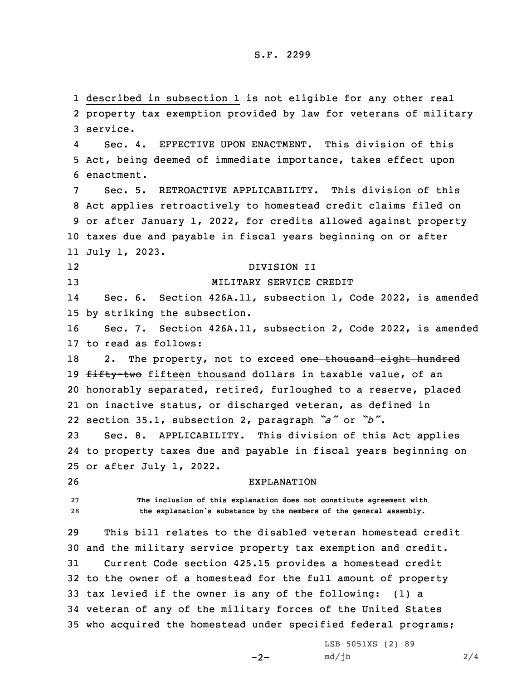described in subsection 1 is not eligible for any other real property tax exemption provided by law for veterans of military 3 service. 4 Sec. 4. EFFECTIVE UPON ENACTMENT. This division of this Act, being deemed of immediate importance, takes effect upon enactment. Sec. 5. RETROACTIVE APPLICABILITY. This division of this Act applies retroactively to homestead credit claims filed on or after January 1, 2022, for credits allowed against property taxes due and payable in fiscal years beginning on or after July 1, 2023. 12 DIVISION II MILITARY SERVICE CREDIT 14 Sec. 6. Section 426A.11, subsection 1, Code 2022, is amended by striking the subsection. Sec. 7. Section 426A.11, subsection 2, Code 2022, is amended to read as follows: 18 2. The property, not to exceed one thousand eight hundred 19 fifty-two fifteen thousand dollars in taxable value, of an honorably separated, retired, furloughed to <sup>a</sup> reserve, placed on inactive status, or discharged veteran, as defined in section 35.1, subsection 2, paragraph *"a"* or *"b"*. Sec. 8. APPLICABILITY. This division of this Act applies to property taxes due and payable in fiscal years beginning on or after July 1, 2022. EXPLANATION **The inclusion of this explanation does not constitute agreement with the explanation's substance by the members of the general assembly.** This bill relates to the disabled veteran homestead credit and the military service property tax exemption and credit. Current Code section 425.15 provides <sup>a</sup> homestead credit to the owner of <sup>a</sup> homestead for the full amount of property tax levied if the owner is any of the following: (1) <sup>a</sup> veteran of any of the military forces of the United States who acquired the homestead under specified federal programs;

 $-2-$ 

LSB 5051XS (2) 89  $md/jh$  2/4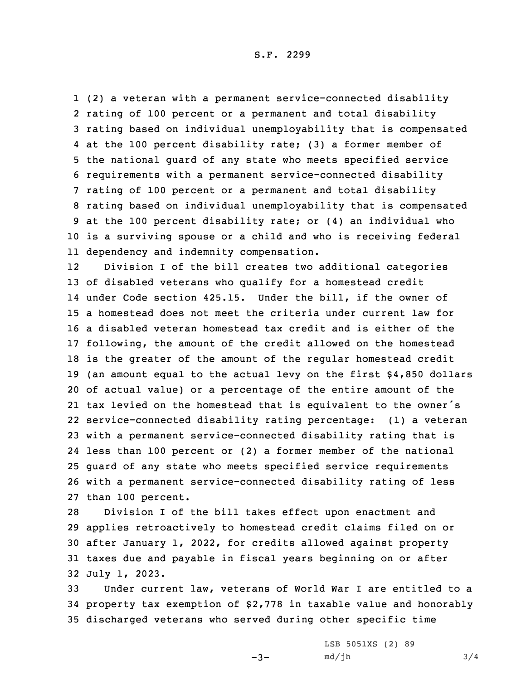(2) <sup>a</sup> veteran with <sup>a</sup> permanent service-connected disability rating of 100 percent or <sup>a</sup> permanent and total disability rating based on individual unemployability that is compensated at the 100 percent disability rate; (3) <sup>a</sup> former member of the national guard of any state who meets specified service requirements with <sup>a</sup> permanent service-connected disability rating of 100 percent or <sup>a</sup> permanent and total disability rating based on individual unemployability that is compensated at the 100 percent disability rate; or (4) an individual who is <sup>a</sup> surviving spouse or <sup>a</sup> child and who is receiving federal dependency and indemnity compensation.

12 Division <sup>I</sup> of the bill creates two additional categories of disabled veterans who qualify for <sup>a</sup> homestead credit under Code section 425.15. Under the bill, if the owner of <sup>a</sup> homestead does not meet the criteria under current law for <sup>a</sup> disabled veteran homestead tax credit and is either of the following, the amount of the credit allowed on the homestead is the greater of the amount of the regular homestead credit (an amount equal to the actual levy on the first \$4,850 dollars of actual value) or <sup>a</sup> percentage of the entire amount of the tax levied on the homestead that is equivalent to the owner's service-connected disability rating percentage: (1) <sup>a</sup> veteran with <sup>a</sup> permanent service-connected disability rating that is less than 100 percent or (2) <sup>a</sup> former member of the national guard of any state who meets specified service requirements with <sup>a</sup> permanent service-connected disability rating of less than 100 percent.

 Division <sup>I</sup> of the bill takes effect upon enactment and applies retroactively to homestead credit claims filed on or after January 1, 2022, for credits allowed against property taxes due and payable in fiscal years beginning on or after July 1, 2023.

33 Under current law, veterans of World War I are entitled to <sup>a</sup> 34 property tax exemption of \$2,778 in taxable value and honorably 35 discharged veterans who served during other specific time

 $-3-$ 

LSB 5051XS (2) 89  $md/jh$  3/4